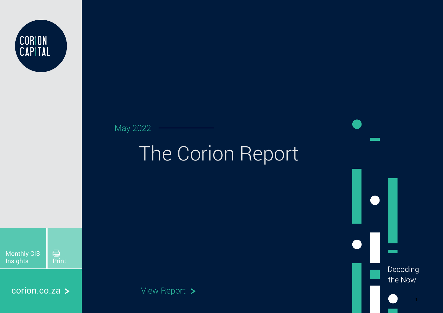

May 2022

# The Corion Report

Decoding the Now

 $\begin{tabular}{|c|c|} \hline \quad \quad & \quad \quad & \quad \quad \\ \hline \quad \quad & \quad \quad & \quad \quad \\ \hline \quad \quad & \quad \quad & \quad \quad \\ \hline \end{tabular}$ Monthly CIS Insights | Print

[corion.co.za](http://www.corion.co.za) >

View Report >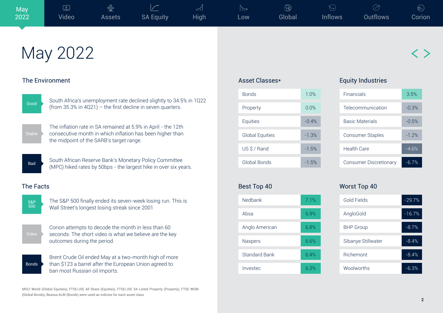$\bigcirc$ 

 $\bigoplus$ 

2

## The Environment

May 2022



South Africa's unemployment rate declined slightly to 34.5% in 1Q22 Good Counter and Science in the first decline in seven quarters.



The inflation rate in SA remained at 5.9% in April - the 12th consecutive month in which inflation has been higher than the midpoint of the SARB's target range.



South African Reserve Bank's Monetary Policy Committee Bad MPC) hiked rates by 50bps - the largest hike in over six years.

## The Facts



The S&P 500 finally ended its seven-week losing run. This is Wall Street's longest losing streak since 2001

Corion attempts to decode the month in less than 60 seconds. The short video is what we believe are the key outcomes during the period.

Bonds

Brent Crude Oil ended May at a two-month high of more than \$123 a barrel after the European Union agreed to ban most Russian oil imports.

MSCI World (Global Equities), FTSE/JSE All Share (Equities), FTSE/JSE SA Listed Property (Property), FTSE WGBI (Global Bonds), Beassa ALBI (Bonds) were used as indicies for each asset class

## Asset Classes\*

Best Top 40

| <b>Bonds</b>           | 1.0%    |
|------------------------|---------|
| Property               | 0.0%    |
| Equities               | $-0.4%$ |
| <b>Global Equities</b> | $-1.3%$ |
| US \$ / Rand           | $-1.5%$ |
| Global Bonds           | $-1.5%$ |

| <b>DESL TUP 40</b> |      |
|--------------------|------|
| Nedbank            | 7.1% |
| Ahsa               | 6.9% |
| Anglo American     | 6.8% |
| Naspers            | 6.6% |
| Standard Bank      | 64%  |
| Investec           | 6.3% |

### Equity Industries

 $M$ <sub>arat</sub>  $T_{\alpha p}$   $40$ 

| Financials                    | 3.5%    |
|-------------------------------|---------|
| Telecommunication             | $-0.3%$ |
| Basic Materials               | $-0.5%$ |
| <b>Consumer Staples</b>       | $-1.2%$ |
| Health Care                   | $-4.6%$ |
| <b>Consumer Discretionary</b> | $-6.7%$ |

| <b>WUISL TUP 40</b> |          |  |  |
|---------------------|----------|--|--|
| Gold Fields         | $-29.7%$ |  |  |
| AngloGold           | $-16.7%$ |  |  |
| <b>BHP</b> Group    | $-8.7%$  |  |  |
| Sibanye Stillwater  | $-8.4%$  |  |  |
| Richemont           | $-8.4%$  |  |  |
| Woolworths          | $-6.3%$  |  |  |
|                     |          |  |  |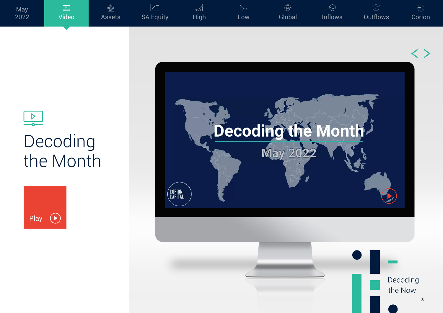

 $\boxed{\underline{\triangledown}}$ 





 $\circledS$ 



# $\frac{\triangleright}{\circ}$ Decoding [the Month](https://www.youtube.com/watch?v=dMN1zmIA3Yk)



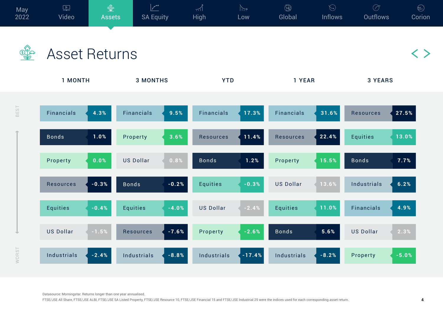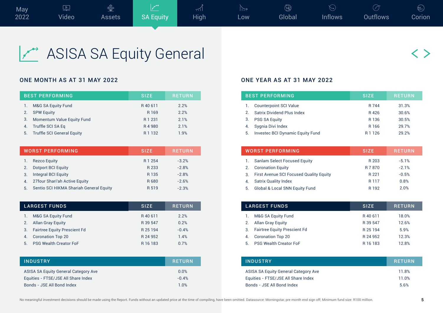

ASISA SA Equity General

### ONE MONTH AS AT 31 MAY 2022 **ONE YEAR AS AT 31 MAY 2022**

|    | <b>BEST PERFORMING</b>        | <b>SIZE</b> | <b>RETURN</b> |
|----|-------------------------------|-------------|---------------|
|    | M&G SA Equity Fund            | R40611      | 2.2%          |
| 2. | <b>SPW Equity</b>             | R 169       | 2.2%          |
| 3. | Momentum Value Equity Fund    | R 1 2 3 1   | 21%           |
| 4. | Truffle SCI SA Eq             | R4980       | 2.1%          |
|    | 5. Truffle SCI General Equity | R 1 1 3 2   | 19%           |

|                  | <b>WORST PERFORMING</b>                 | <b>SIZE</b> | <b>RETURN</b> |
|------------------|-----------------------------------------|-------------|---------------|
|                  | <b>Rezco Equity</b>                     | R 1 254     | $-3.2%$       |
|                  | <b>Dotport BCI Equity</b>               | R 233       | $-2.8%$       |
| 3.               | <b>Integral BCI Equity</b>              | R 135       | $-2.8%$       |
| $\overline{4}$ . | 27 four Shari'ah Active Equity          | R 680       | $-2.6%$       |
| 5.               | Sentio SCI HIKMA Shariah General Equity | R 519       | $-2.3%$       |

| <b>LARGEST FUNDS</b>                      | <b>RETURN</b><br><b>SIZE</b> |
|-------------------------------------------|------------------------------|
| M&G SA Equity Fund                        | 2.2%<br>R40611               |
| Allan Gray Equity<br>2.                   | R 39 547<br>0.2%             |
| <b>Fairtree Equity Prescient Fd</b><br>3. | $-0.4%$<br>R 25 194          |
| <b>Coronation Top 20</b><br>4.            | R 24 952<br>1.4%             |
| <b>PSG Wealth Creator FoF</b><br>5        | 0.7%<br>R 16 183             |

| <b>INDUSTRY</b>                             | <b>RETURN</b> |
|---------------------------------------------|---------------|
| <b>ASISA SA Equity General Category Ave</b> | 0.0%          |
| Equities - FTSE/JSE All Share Index         | $-0.4%$       |
| Bonds - JSE All Bond Index                  | 1.0%          |

|               | <b>BEST PERFORMING</b>                  | <b>SIZE</b>       | <b>RETURN</b> |
|---------------|-----------------------------------------|-------------------|---------------|
|               | <b>Counterpoint SCI Value</b>           | R 744             | 31.3%         |
| $\mathcal{P}$ | Satrix Dividend Plus Index              | R426              | 30.6%         |
| 3.            | <b>PSG SA Equity</b>                    | R 136             | 30.5%         |
|               | Sygnia Divi Index                       | R 166             | 29.7%         |
| 5.            | <b>Invested BCI Dynamic Equity Fund</b> | R <sub>1126</sub> | 29.2%         |

|    | <b>WORST PERFORMING</b>                        | <b>SIZE</b>      | <b>RETURN</b> |
|----|------------------------------------------------|------------------|---------------|
|    | <b>Sanlam Select Focused Equity</b>            | R 203            | $-5.1%$       |
| 2. | <b>Coronation Equity</b>                       | R 7870           | $-21%$        |
| 3. | <b>First Avenue SCI Focused Quality Equity</b> | R 221            | $-0.5%$       |
| 4. | <b>Satrix Quality Index</b>                    | R <sub>117</sub> | 0.8%          |
| 5. | Global & Local SNN Equity Fund                 | R 192            | 2.0%          |

|    | <b>LARGEST FUNDS</b>                | <b>SIZE</b> | <b>RETURN</b> |
|----|-------------------------------------|-------------|---------------|
|    | M&G SA Equity Fund                  | R40611      | 18.0%         |
|    | <b>Allan Gray Equity</b>            | R 39 547    | 12.6%         |
| 3. | <b>Fairtree Equity Prescient Fd</b> | R 25 194    | 5.9%          |
|    | <b>Coronation Top 20</b>            | R 24 952    | 12.3%         |
| 5. | <b>PSG Wealth Creator FoF</b>       | R 16 183    | 128%          |

| <b>INDUSTRY</b>                      | <b>RETURN</b> |
|--------------------------------------|---------------|
| ASISA SA Equity General Category Ave | 11.8%         |
| Equities - FTSE/JSE All Share Index  | 11 0%         |
| Bonds - JSE All Bond Index           | 5.6%          |

〈 〉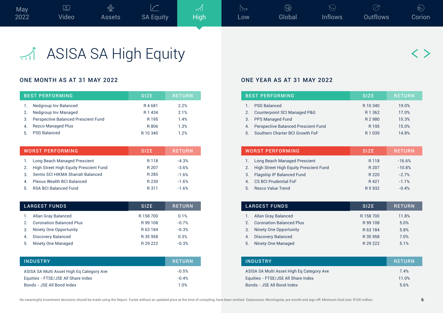

## ASISA SA High Equity

## ONE MONTH AS AT 31 MAY 2022 CONE YEAR AS AT 31 MAY 2022

|    | <b>BEST PERFORMING</b>                     | <b>SIZE</b> | <b>RETURN</b> |
|----|--------------------------------------------|-------------|---------------|
|    | Nedgroup Inv Balanced                      | R4681       | 2.2%          |
|    | Nedgroup Inv Managed                       | R 1 4 3 4   | 2 1%          |
| 3. | <b>Perspective Balanced Prescient Fund</b> | R 195       | 1.4%          |
|    | <b>Rezco Managed Plus</b>                  | R 806       | 1.3%          |
| 5. | <b>PSG Balanced</b>                        | R 10 340    | 1.2%          |

|    | WORST PERFORMING                       | <b>SIZE</b> | <b>RETURN</b> |
|----|----------------------------------------|-------------|---------------|
|    | <b>Long Beach Managed Prescient</b>    | R 118       | $-4.3%$       |
| 2. | High Street High Equity Prescient Fund | R 207       | $-3.6%$       |
| 3  | Sentio SCI HIKMA Shariah Balanced      | R 285       | $-1.6%$       |
| 4  | Plexus Wealth BCI Balanced             | R 230       | $-1.6%$       |
| 5  | <b>RSA BCI Balanced Fund</b>           | R 311       | $-1.6%$       |

|               | LARGEST FUNDS                   | <b>SIZE</b> | <b>RETURN</b> |
|---------------|---------------------------------|-------------|---------------|
|               | Allan Gray Balanced             | R 158 700   | 0.1%          |
| $\mathcal{P}$ | <b>Coronation Balanced Plus</b> | R 99 108    | $-0.7%$       |
| 3.            | Ninety One Opportunity          | R 63 184    | $-0.3%$       |
| 4.            | <b>Discovery Balanced</b>       | R 35 958    | 0.3%          |
| 5.            | Ninety One Managed              | R 29 222    | $-0.3%$       |

| <b>INDUSTRY</b>                           | <b>RETURN</b> |
|-------------------------------------------|---------------|
| ASISA SA Multi Asset High Eq Category Ave | $-0.5%$       |
| Equities - FTSE/JSE All Share Index       | $-0.4%$       |
| Bonds - JSE All Bond Index                | 1 በ%          |

|    | <b>BEST PERFORMING</b>                     | <b>SIZE</b> | <b>RETURN</b> |
|----|--------------------------------------------|-------------|---------------|
|    | <b>PSG Balanced</b>                        | R 10 340    | 19.0%         |
| 2. | <b>Counterpoint SCI Managed P&amp;G</b>    | R 1 3 6 2   | 17.0%         |
|    | 3. PPS Managed Fund                        | R 2 980     | 15.3%         |
| 4  | <b>Perspective Balanced Prescient Fund</b> | R 195       | 15.0%         |
| 5. | Southern Charter BCI Growth FoF            | R 1 0 3 9   | 148%          |

|                | <b>WORST PERFORMING</b>                | <b>SIZE</b> | <b>RETURN</b> |
|----------------|----------------------------------------|-------------|---------------|
|                | <b>Long Beach Managed Prescient</b>    | R 118       | $-16.6%$      |
| 2.             | High Street High Equity Prescient Fund | R 207       | $-10.8%$      |
| 3.             | Flagship IP Balanced Fund              | R 220       | $-2.7%$       |
| $\overline{4}$ | <b>CS BCI Prudential FoF</b>           | R421        | $-11%$        |
| 5.             | <b>Rezco Value Trend</b>               | R 5 9 3 2   | $-0.4%$       |

|                | <b>LARGEST FUNDS</b>            | <b>SIZE</b> | <b>RETURN</b> |
|----------------|---------------------------------|-------------|---------------|
|                | Allan Gray Balanced             | R 158 700   | 11.8%         |
| $\mathcal{P}$  | <b>Coronation Balanced Plus</b> | R 99 108    | 5.0%          |
| 3.             | Ninety One Opportunity          | R 63 184    | 5.8%          |
| 4 <sup>1</sup> | <b>Discovery Balanced</b>       | R 35 958    | 7.0%          |
| 5.             | Ninety One Managed              | R 29 222    | 5.1%          |

| <b>INDUSTRY</b>                           | <b>RETURN</b> |
|-------------------------------------------|---------------|
| ASISA SA Multi Asset High Eq Category Ave | 74%           |
| Equities - FTSE/JSE All Share Index       | 11.0%         |
| Bonds - JSE All Bond Index                | 5.6%          |

〈 〉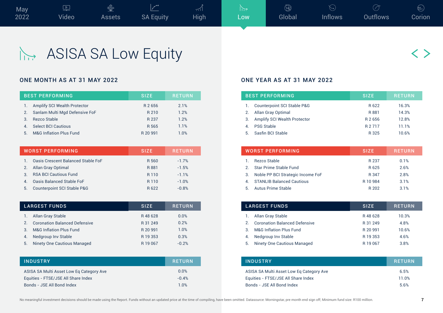

## ASISA SA Low Equity

|    | <b>BEST PERFORMING</b>              | <b>SIZE</b> | <b>RETURN</b> |
|----|-------------------------------------|-------------|---------------|
|    | <b>Amplify SCI Wealth Protector</b> | R 2656      | 2.1%          |
| 2. | Sanlam Multi Mgd Defensive FoF      | R 210       | 1.2%          |
| 3  | Rezco Stable                        | R 237       | 1.2%          |
|    | <b>Select BCI Cautious</b>          | R 565       | 1.1%          |
| 5. | <b>M&amp;G Inflation Plus Fund</b>  | R 20 991    | 1.0%          |

|    | <b>WORST PERFORMING</b>                   | <b>SIZE</b>      | <b>IRETURN</b> |
|----|-------------------------------------------|------------------|----------------|
|    | <b>Oasis Crescent Balanced Stable FoF</b> | R 560            | $-1.7%$        |
|    | Allan Gray Optimal                        | R 881            | $-1.5%$        |
| 3  | <b>RSA BCI Cautious Fund</b>              | R <sub>110</sub> | $-1.1%$        |
| 4  | <b>Oasis Balanced Stable FoF</b>          | R <sub>110</sub> | $-1.0%$        |
| 5. | <b>Counterpoint SCI Stable P&amp;G</b>    | R622             | $-0.8%$        |

|               | <b>LARGEST FUNDS</b>                 | <b>SIZE</b> | <b>RETURN</b> |
|---------------|--------------------------------------|-------------|---------------|
|               | Allan Gray Stable                    | R48628      | 0.0%          |
| $\mathcal{P}$ | <b>Coronation Balanced Defensive</b> | R 31 249    | 0.2%          |
| 3             | <b>M&amp;G Inflation Plus Fund</b>   | R 20 991    | 1.0%          |
| 4.            | Nedgroup Inv Stable                  | R 19 353    | 0.3%          |
| 5.            | Ninety One Cautious Managed          | R 19 067    | $-0.2%$       |

| <b>INDUSTRY</b>                          | <b>RETURN</b> |
|------------------------------------------|---------------|
| ASISA SA Multi Asset Low Eq Category Ave | 0.0%          |
| Equities - FTSE/JSE All Share Index      | $-0.4%$       |
| Bonds - JSE All Bond Index               | 1.0%          |

### ONE MONTH AS AT 31 MAY 2022 **ONE YEAR AS AT 31 MAY 2022**

|    | <b>BEST PERFORMING</b>                 | <b>SIZE</b> | <b>RETURN</b> |
|----|----------------------------------------|-------------|---------------|
|    | <b>Counterpoint SCI Stable P&amp;G</b> | R622        | 16.3%         |
| 2. | <b>Allan Gray Optimal</b>              | R 881       | 14.3%         |
| 3. | Amplify SCI Wealth Protector           | R 2656      | 12.8%         |
|    | <b>PSG Stable</b>                      | R 2 7 1 7   | 11.1%         |
| 5. | Sasfin BCI Stable                      | R 325       | 10 6%         |

|               | <b>WORST PERFORMING</b>           | <b>SIZE</b> | <b>RETURN</b> |
|---------------|-----------------------------------|-------------|---------------|
|               | Rezco Stable                      | R 237       | 0.1%          |
| $\mathcal{P}$ | Star Prime Stable Fund            | R625        | 2.6%          |
| 3.            | Noble PP BCI Strategic Income FoF | R 347       | 2.8%          |
| 4             | <b>STANLIB Balanced Cautious</b>  | R 10 984    | 3.1%          |
| 5             | <b>Autus Prime Stable</b>         | R 202       | 3.1%          |

|    | <b>LARGEST FUNDS</b>                 | <b>SIZE</b> | <b>RETURN</b> |
|----|--------------------------------------|-------------|---------------|
|    | Allan Gray Stable                    | R48628      | 10.3%         |
|    | <b>Coronation Balanced Defensive</b> | R 31 249    | 4.8%          |
| 3  | <b>M&amp;G Inflation Plus Fund</b>   | R 20 991    | 10.6%         |
|    | Nedgroup Inv Stable                  | R 19 353    | 4.6%          |
| 5. | Ninety One Cautious Managed          | R 19 067    | 3.8%          |

| <b>INDUSTRY</b>                          | <b>RETURN</b> |
|------------------------------------------|---------------|
| ASISA SA Multi Asset Low Eq Category Ave | 6.5%          |
| Equities - FTSE/JSE All Share Index      | 11 0%         |
| Bonds - JSE All Bond Index               | 5.6%          |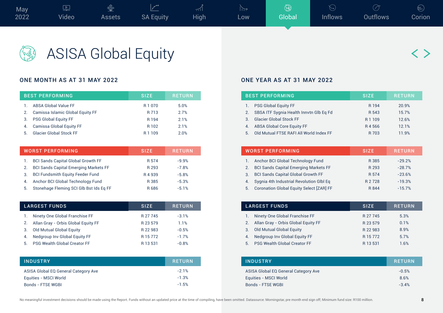

ASISA Global Equity

## ONE MONTH AS AT 31 MAY 2022 CONE THE SAME WAS ALSO AND THE SAME YEAR AS AT 31 MAY 2022

|    | <b>BEST PERFORMING</b>           | <b>SIZE</b>       | <b>RETURN</b> |
|----|----------------------------------|-------------------|---------------|
|    | <b>ABSA Global Value FF</b>      | R 1 0 7 0         | 5.0%          |
| 2. | Camissa Islamic Global Equity FF | R 713             | 2.7%          |
| 3. | <b>PSG Global Equity FF</b>      | R 194             | 2 1%          |
|    | Camissa Global Equity FF         | R 102             | 2.1%          |
| 5. | <b>Glacier Global Stock FF</b>   | R <sub>1109</sub> | 2.0%          |

|    | <b>WORST PERFORMING</b>                      | <b>SIZE</b> | <b>RETURN</b> |
|----|----------------------------------------------|-------------|---------------|
|    | <b>BCI Sands Capital Global Growth FF</b>    | R 574       | $-9.9%$       |
| 2. | <b>BCI Sands Capital Emerging Markets FF</b> | R 293       | $-7.8%$       |
| 3. | <b>BCI Fundsmith Equity Feeder Fund</b>      | R4939       | $-5.8%$       |
| 4. | Anchor BCI Global Technology Fund            | R 385       | $-5.3%$       |
| 5. | Stonehage Fleming SCI Glb Bst Ids Eq FF      | R686        | $-5.1%$       |

| <b>LARGEST FUNDS</b>                      | <b>SIZE</b> | <b>RETURN</b> |
|-------------------------------------------|-------------|---------------|
| Ninety One Global Franchise FF            | R 27 745    | $-3.1%$       |
| Allan Gray - Orbis Global Equity FF<br>2. | R 23 579    | 1.1%          |
| Old Mutual Global Equity<br>3.            | R 22 983    | $-0.5%$       |
| Nedgroup Inv Global Equity FF<br>4.       | R 15 772    | $-1.7%$       |
| <b>PSG Wealth Global Creator FF</b><br>5. | R 13 531    | $-0.8%$       |

| <b>INDUSTRY</b>                      | <b>RETURN</b> |
|--------------------------------------|---------------|
| ASISA Global EQ General Category Ave | $-21%$        |
| Equities - MSCI World                | $-1.3%$       |
| Bonds - FTSE WGBI                    | $-1.5%$       |

|                | <b>BEST PERFORMING</b>                  | <b>SIZE</b>       | <b>RETURN</b> |
|----------------|-----------------------------------------|-------------------|---------------|
|                | <b>PSG Global Equity FF</b>             | R 194             | 20.9%         |
| 2 <sub>1</sub> | SBSA ITF Sygnia Health Innvtn Glb Eq Fd | R 543             | 15.7%         |
| 3              | <b>Glacier Global Stock FF</b>          | R <sub>1109</sub> | 12.6%         |
| 4.             | <b>ABSA Global Core Equity FF</b>       | R4566             | 121%          |
| 5.             | Old Mutual FTSE RAFI All World Index FF | R 703             | 11 9%         |

|    | <b>WORST PERFORMING</b>                         | <b>SIZE</b> | <b>RETURN</b> |
|----|-------------------------------------------------|-------------|---------------|
|    | Anchor BCI Global Technology Fund               | R 385       | $-29.2%$      |
| 2. | <b>BCI Sands Capital Emerging Markets FF</b>    | R 293       | $-28.7%$      |
| 3. | <b>BCI Sands Capital Global Growth FF</b>       | R 574       | $-23.6%$      |
| 4. | Sygnia 4th Industrial Revolution Glbl Eq        | R 2 7 2 8   | $-19.3%$      |
| 5. | <b>Coronation Global Equity Select [ZAR] FF</b> | R 844       | $-15.7%$      |

|    | <b>LARGEST FUNDS</b>                   | <b>SIZE</b> | <b>RETURN</b> |
|----|----------------------------------------|-------------|---------------|
|    | Ninety One Global Franchise FF         | R 27 745    | 5.3%          |
|    | 2. Allan Gray - Orbis Global Equity FF | R 23 579    | 0.1%          |
|    | 3. Old Mutual Global Equity            | R 22 983    | 8.9%          |
| 4. | Nedgroup Inv Global Equity FF          | R 15 772    | 5.7%          |
| 5. | <b>PSG Wealth Global Creator FF</b>    | R 13 531    | 1.6%          |

| <b>INDUSTRY</b>                      | <b>RETURN</b> |
|--------------------------------------|---------------|
| ASISA Global EQ General Category Ave | $-0.5%$       |
| Equities - MSCI World                | 8.6%          |
| Bonds - FTSE WGBI                    | $-3.4%$       |

〈 〉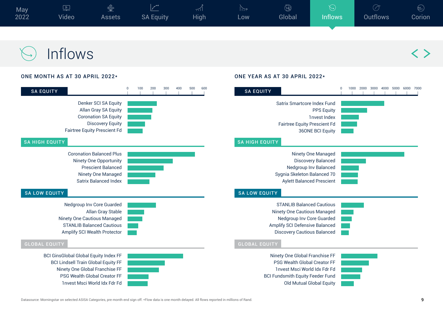

## Inflows

### ONE MONTH AS AT 30 APRIL 2022\* ONE YEAR AS AT 30 APRIL 2022\*

| <b>SA EQUITY</b>                                                                                                                                                                                    | 100<br>200<br>300<br>$\overline{0}$<br>400<br>500<br>600 | <b>SA EQUITY</b>                                                                                                                                                                             |
|-----------------------------------------------------------------------------------------------------------------------------------------------------------------------------------------------------|----------------------------------------------------------|----------------------------------------------------------------------------------------------------------------------------------------------------------------------------------------------|
| Denker SCI SA Equity<br>Allan Gray SA Equity<br><b>Coronation SA Equity</b><br><b>Discovery Equity</b><br><b>Fairtree Equity Prescient Fd</b><br><b>SA HIGH EQUITY</b>                              |                                                          | Satrix Smartcore Index Fund<br><b>PPS Equity</b><br><b>1nvest Index</b><br><b>Fairtree Equity Prescient Fd</b><br><b>36ONE BCI Equity</b><br><b>SA HIGH EQUITY</b>                           |
| <b>Coronation Balanced Plus</b><br>Ninety One Opportunity<br><b>Prescient Balanced</b><br>Ninety One Managed<br><b>Satrix Balanced Index</b><br><b>SA LOW EQUITY</b>                                |                                                          | <b>Ninety One Managed</b><br><b>Discovery Balanced</b><br><b>Nedgroup Inv Balanced</b><br>Sygnia Skeleton Balanced 70<br><b>Aylett Balanced Prescient</b><br><b>SA LOW EQUITY</b>            |
| Nedgroup Inv Core Guarded<br>Allan Gray Stable<br>Ninety One Cautious Managed<br><b>STANLIB Balanced Cautious</b><br>Amplify SCI Wealth Protector<br><b>GLOBAL EQUITY</b>                           |                                                          | <b>STANLIB Balanced Cautious</b><br>Ninety One Cautious Managed<br>Nedgroup Inv Core Guarded<br>Amplify SCI Defensive Balanced<br><b>Discovery Cautious Balanced</b><br><b>GLOBAL EQUITY</b> |
| <b>BCI GinsGlobal Global Equity Index FF</b><br><b>BCI Lindsell Train Global Equity FF</b><br>Ninety One Global Franchise FF<br><b>PSG Wealth Global Creator FF</b><br>1nvest Msci World Idx Fdr Fd |                                                          | Ninety One Global Franchise FF<br><b>PSG Wealth Global Creator FF</b><br>1nvest Msci World Idx Fdr Fd<br><b>BCI Fundsmith Equity Feeder Fund</b><br><b>Old Mutual Global Equity</b>          |

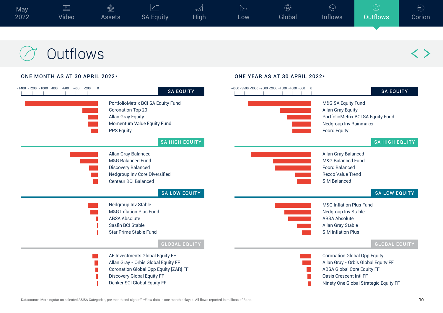| May<br>2022 | $=$<br>Video | N Co<br><b>Assets</b> | $\rightarrow$<br><b>SA Equity</b> | $\frac{1}{2}$<br><b>High</b> | LOW. | ('ocse 4<br>Global | <b>Inflows</b> | <b>Outflows</b> | $\left( =\right)$<br><b>Corion</b> |
|-------------|--------------|-----------------------|-----------------------------------|------------------------------|------|--------------------|----------------|-----------------|------------------------------------|
|             |              |                       |                                   |                              |      |                    |                |                 |                                    |

## **Outflows**

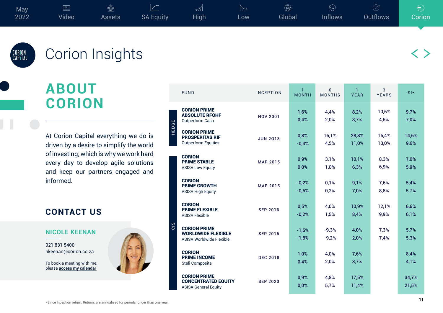

 $\langle \ \ \rangle$ 

## 'CORION<br>,CAPITAL

## Corion Insights

## **ABOUT CORION**

At Corion Capital everything we do is driven by a desire to simplify the world of investing; which is why we work hard every day to develop agile solutions and keep our partners engaged and informed.

## **CONTACT US**

### **NICOLE KEENAN**

021 831 5400 [nkeenan@corion.co.za](mailto:nkeenan%40corion.co.za?subject=Hello%20%20%7C%20%20Corion%20Capital)

To book a meeting with me, please **[access my calendar](https://calendly.com/corioncapital)**



|       | <b>FUND</b>                                                                      | <b>INCEPTION</b> | $\mathbf{1}$<br><b>MONTH</b> | 6<br><b>MONTHS</b> | $\mathbf{1}$<br><b>YEAR</b> | 3<br><b>YEARS</b> | $S$  *         |
|-------|----------------------------------------------------------------------------------|------------------|------------------------------|--------------------|-----------------------------|-------------------|----------------|
| HEDGE | <b>CORION PRIME</b><br><b>ABSOLUTE RFOHF</b><br>Outperform Cash                  | <b>NOV 2001</b>  | 1,6%<br>0,4%                 | 4,4%<br>2,0%       | 8,2%<br>3,7%                | 10,6%<br>4,5%     | 9,7%<br>7,0%   |
|       | <b>CORION PRIME</b><br><b>PROSPERITAS RIF</b><br><b>Outperform Equities</b>      | <b>JUN 2013</b>  | 0,8%<br>$-0,4%$              | 16,1%<br>4,5%      | 28,8%<br>11,0%              | 16,4%<br>13,0%    | 14,6%<br>9,6%  |
| CIS   | <b>CORION</b><br><b>PRIME STABLE</b><br><b>ASISA Low Equity</b>                  | <b>MAR 2015</b>  | 0,9%<br>0,0%                 | 3,1%<br>1,0%       | 10,1%<br>6,3%               | 8,3%<br>6,9%      | 7,0%<br>5,9%   |
|       | <b>CORION</b><br><b>PRIME GROWTH</b><br><b>ASISA High Equity</b>                 | <b>MAR 2015</b>  | $-0.2%$<br>$-0.5%$           | 0.1%<br>0.2%       | 9,1%<br>7,0%                | 7,6%<br>8,8%      | 5,4%<br>5,7%   |
|       | <b>CORION</b><br><b>PRIME FLEXIBLE</b><br><b>ASISA Flexible</b>                  | <b>SEP 2016</b>  | 0,5%<br>$-0,2%$              | 4,0%<br>1,5%       | 10,9%<br>8,4%               | 12,1%<br>9,9%     | 6,6%<br>6,1%   |
|       | <b>CORION PRIME</b><br><b>WORLDWIDE FLEXIBLE</b><br>ASISA Worldwide Flexible     | <b>SEP 2016</b>  | $-1,5%$<br>$-1,8%$           | $-9,3%$<br>$-9,2%$ | 4,0%<br>2,0%                | 7,3%<br>7,4%      | 5,7%<br>5,3%   |
|       | <b>CORION</b><br><b>PRIME INCOME</b><br>Stefi Composite                          | <b>DEC 2018</b>  | 1,0%<br>0,4%                 | 4,0%<br>2,0%       | 7,6%<br>3,7%                |                   | 8,4%<br>4,1%   |
|       | <b>CORION PRIME</b><br><b>CONCENTRATED EQUITY</b><br><b>ASISA General Equity</b> | <b>SEP 2020</b>  | 0,9%<br>0,0%                 | 4,8%<br>5,7%       | 17,5%<br>11,4%              |                   | 34,7%<br>21,5% |